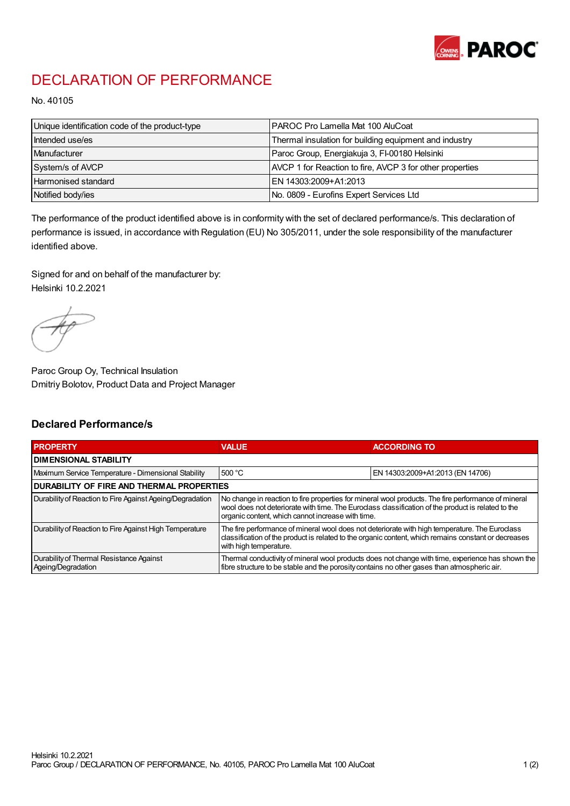

## DECLARATION OF PERFORMANCE

No. 40105

| Unique identification code of the product-type | I PAROC Pro Lamella Mat 100 AluCoat                      |
|------------------------------------------------|----------------------------------------------------------|
| Intended use/es                                | Thermal insulation for building equipment and industry   |
| Manufacturer                                   | Paroc Group, Energiakuja 3, FI-00180 Helsinki            |
| System/s of AVCP                               | AVCP 1 for Reaction to fire, AVCP 3 for other properties |
| Harmonised standard                            | IEN 14303:2009+A1:2013                                   |
| Notified body/ies                              | No. 0809 - Eurofins Expert Services Ltd                  |

The performance of the product identified above is in conformity with the set of declared performance/s. This declaration of performance is issued, in accordance with Regulation (EU) No 305/2011, under the sole responsibility of the manufacturer identified above.

Signed for and on behalf of the manufacturer by: Helsinki 10.2.2021

Paroc Group Oy, Technical Insulation Dmitriy Bolotov, Product Data and Project Manager

## Declared Performance/s

| <b>PROPERTY</b>                                                | <b>VALUE</b>                                                                                                                                                                                                                                                   | <b>ACCORDING TO</b>              |  |
|----------------------------------------------------------------|----------------------------------------------------------------------------------------------------------------------------------------------------------------------------------------------------------------------------------------------------------------|----------------------------------|--|
| <b>DIMENSIONAL STABILITY</b>                                   |                                                                                                                                                                                                                                                                |                                  |  |
| Maximum Service Temperature - Dimensional Stability            | 500 °C                                                                                                                                                                                                                                                         | EN 14303:2009+A1:2013 (EN 14706) |  |
| <b>DURABILITY OF FIRE AND THERMAL PROPERTIES</b>               |                                                                                                                                                                                                                                                                |                                  |  |
| Durability of Reaction to Fire Against Ageing/Degradation      | No change in reaction to fire properties for mineral wool products. The fire performance of mineral<br>wool does not deteriorate with time. The Euroclass classification of the product is related to the<br>organic content, which cannot increase with time. |                                  |  |
| Durability of Reaction to Fire Against High Temperature        | The fire performance of mineral wool does not deteriorate with high temperature. The Euroclass<br>classification of the product is related to the organic content, which remains constant or decreases<br>with high temperature.                               |                                  |  |
| Durability of Thermal Resistance Against<br>Ageing/Degradation | Thermal conductivity of mineral wool products does not change with time, experience has shown the<br>fibre structure to be stable and the porosity contains no other gases than atmospheric air.                                                               |                                  |  |